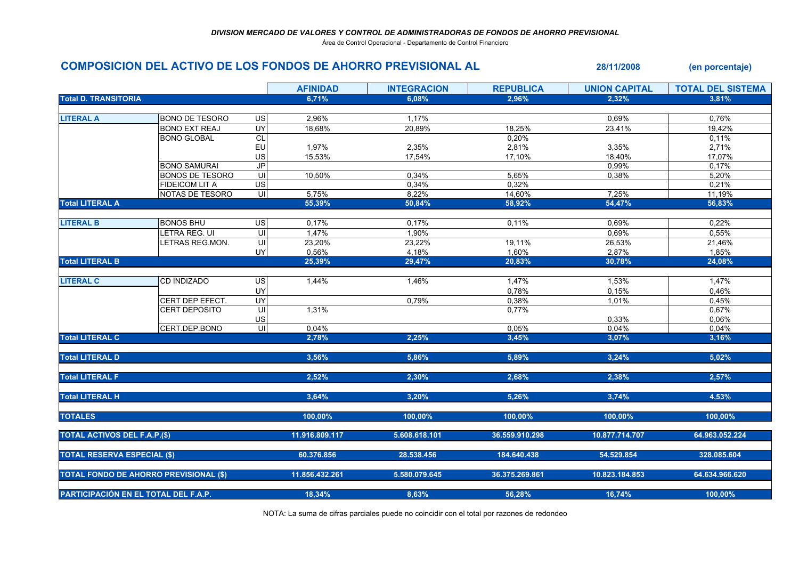Área de Control Operacional - Departamento de Control Financiero

## COMPOSICION DEL ACTIVO DE LOS FONDOS DE AHORRO PREVISIONAL AL 28/11/2008 (en porcentaje)

|                                               |                        |                         | <b>AFINIDAD</b> | <b>INTEGRACION</b> | <b>REPUBLICA</b> | <b>UNION CAPITAL</b> | <b>TOTAL DEL SISTEMA</b> |
|-----------------------------------------------|------------------------|-------------------------|-----------------|--------------------|------------------|----------------------|--------------------------|
| <b>Total D. TRANSITORIA</b>                   |                        |                         | 6,71%           | 6.08%              | 2,96%            | 2,32%                | 3,81%                    |
|                                               |                        |                         |                 |                    |                  |                      |                          |
| <b>LITERAL A</b>                              | <b>BONO DE TESORO</b>  | US                      | 2,96%           | 1,17%              |                  | 0,69%                | 0,76%                    |
|                                               | <b>BONO EXT REAJ</b>   | UY                      | 18,68%          | 20,89%             | 18,25%           | 23,41%               | 19,42%                   |
|                                               | <b>BONO GLOBAL</b>     | CL                      |                 |                    | 0,20%            |                      | 0,11%                    |
|                                               |                        | EU                      | 1,97%           | 2,35%              | 2,81%            | 3,35%                | 2,71%                    |
|                                               |                        | US                      | 15,53%          | 17,54%             | 17,10%           | 18,40%               | 17,07%                   |
|                                               | <b>BONO SAMURAI</b>    | <b>JP</b>               |                 |                    |                  | 0,99%                | 0,17%                    |
|                                               | <b>BONOS DE TESORO</b> | UI                      | 10,50%          | 0,34%              | 5,65%            | $0,38\%$             | 5,20%                    |
|                                               | <b>FIDEICOM LIT A</b>  | US                      |                 | 0,34%              | 0,32%            |                      | 0,21%                    |
|                                               | NOTAS DE TESORO        | $\overline{\mathsf{c}}$ | 5,75%           | 8,22%              | 14,60%           | 7,25%                | 11,19%                   |
| <b>Total LITERAL A</b>                        |                        |                         | 55.39%          | 50,84%             | 58,92%           | 54,47%               | 56,83%                   |
|                                               |                        |                         |                 |                    |                  |                      |                          |
| <b>LITERAL B</b>                              | <b>BONOS BHU</b>       | $\overline{US}$         | 0,17%           | 0,17%              | 0,11%            | 0,69%                | 0,22%                    |
|                                               | LETRA REG. UI          | UI                      | 1,47%           | 1,90%              |                  | 0,69%                | 0,55%                    |
|                                               | LETRAS REG.MON.        |                         | 23,20%          | 23,22%             | 19,11%           | 26,53%               | 21,46%                   |
|                                               |                        | UY                      | 0,56%           | 4,18%              | 1,60%            | 2,87%                | 1,85%                    |
| <b>Total LITERAL B</b>                        |                        |                         | 25,39%          | 29,47%             | 20,83%           | 30,78%               | 24,08%                   |
|                                               |                        |                         |                 |                    |                  |                      |                          |
| <b>LITERAL C</b>                              | CD INDIZADO            | US                      | 1,44%           | 1,46%              | 1,47%            | 1,53%                | 1,47%                    |
|                                               |                        | UY                      |                 |                    | 0,78%            | 0,15%                | 0,46%                    |
|                                               | CERT DEP EFECT.        | <b>UY</b>               |                 | 0,79%              | 0,38%            | 1,01%                | 0,45%                    |
|                                               | <b>CERT DEPOSITO</b>   | UI                      | 1,31%           |                    | 0,77%            |                      | 0,67%                    |
|                                               |                        | US                      |                 |                    |                  | 0,33%                | 0,06%                    |
|                                               | CERT.DEP.BONO          | $\overline{\mathsf{c}}$ | 0,04%           |                    | 0,05%            | 0,04%                | 0,04%                    |
| <b>Total LITERAL C</b>                        |                        |                         | 2,78%           | 2,25%              | 3,45%            | 3,07%                | 3,16%                    |
|                                               |                        |                         |                 |                    |                  |                      |                          |
| <b>Total LITERAL D</b>                        |                        |                         | 3,56%           | 5,86%              | 5,89%            | 3,24%                | 5,02%                    |
|                                               |                        |                         |                 |                    |                  |                      |                          |
| <b>Total LITERAL F</b>                        |                        |                         | 2,52%           | 2,30%              | 2,68%            | 2,38%                | 2,57%                    |
|                                               |                        |                         |                 |                    |                  |                      |                          |
| <b>Total LITERAL H</b>                        |                        |                         | 3,64%           | 3,20%              | 5,26%            | 3,74%                | 4,53%                    |
|                                               |                        |                         |                 |                    |                  |                      |                          |
| <b>TOTALES</b>                                |                        |                         | 100,00%         | 100.00%            | 100.00%          | 100,00%              | 100.00%                  |
|                                               |                        |                         |                 |                    |                  |                      |                          |
| <b>TOTAL ACTIVOS DEL F.A.P.(\$)</b>           |                        |                         | 11.916.809.117  | 5.608.618.101      | 36.559.910.298   | 10.877.714.707       | 64.963.052.224           |
|                                               |                        |                         |                 |                    |                  |                      |                          |
| <b>TOTAL RESERVA ESPECIAL (\$)</b>            |                        |                         | 60.376.856      | 28.538.456         | 184.640.438      | 54.529.854           | 328.085.604              |
|                                               |                        |                         |                 |                    |                  |                      |                          |
| <b>TOTAL FONDO DE AHORRO PREVISIONAL (\$)</b> |                        |                         | 11.856.432.261  | 5.580.079.645      | 36.375.269.861   | 10.823.184.853       | 64.634.966.620           |
|                                               |                        |                         |                 |                    |                  |                      |                          |
| PARTICIPACIÓN EN EL TOTAL DEL F.A.P.          |                        |                         | 18,34%          | 8,63%              | 56,28%           | 16,74%               | 100,00%                  |
|                                               |                        |                         |                 |                    |                  |                      |                          |

NOTA: La suma de cifras parciales puede no coincidir con el total por razones de redondeo